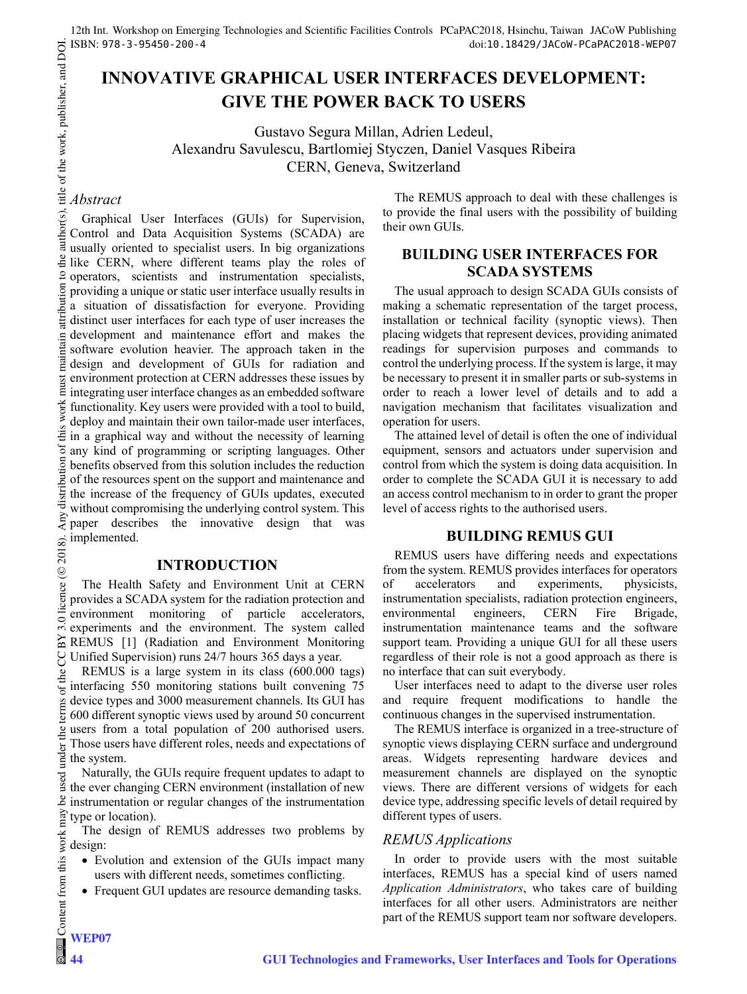# **INNOVATIVE GRAPHICAL USER INTERFACES DEVELOPMENT: GIVE THE POWER BACK TO USERS**

Gustavo Segura Millan, Adrien Ledeul, Alexandru Savulescu, Bartlomiej Styczen, Daniel Vasques Ribeira CERN, Geneva, Switzerland

# *Abstract*

Graphical User Interfaces (GUIs) for Supervision, Control and Data Acquisition Systems (SCADA) are usually oriented to specialist users. In big organizations like CERN, where different teams play the roles of operators, scientists and instrumentation specialists, providing a unique or static user interface usually results in a situation of dissatisfaction for everyone. Providing distinct user interfaces for each type of user increases the development and maintenance effort and makes the software evolution heavier. The approach taken in the design and development of GUIs for radiation and environment protection at CERN addresses these issues by integrating user interface changes as an embedded software functionality. Key users were provided with a tool to build, deploy and maintain their own tailor-made user interfaces, in a graphical way and without the necessity of learning any kind of programming or scripting languages. Other benefits observed from this solution includes the reduction of the resources spent on the support and maintenance and the increase of the frequency of GUIs updates, executed without compromising the underlying control system. This paper describes the innovative design that was implemented.

#### **INTRODUCTION**

The Health Safety and Environment Unit at CERN provides a SCADA system for the radiation protection and environment monitoring of particle accelerators, experiments and the environment. The system called REMUS [1] (Radiation and Environment Monitoring Unified Supervision) runs 24/7 hours 365 days a year.

REMUS is a large system in its class (600.000 tags) interfacing 550 monitoring stations built convening 75 device types and 3000 measurement channels. Its GUI has 600 different synoptic views used by around 50 concurrent users from a total population of 200 authorised users. Those users have different roles, needs and expectations of the system.

Naturally, the GUIs require frequent updates to adapt to the ever changing CERN environment (installation of new instrumentation or regular changes of the instrumentation type or location).

The design of REMUS addresses two problems by design:

- Evolution and extension of the GUIs impact many users with different needs, sometimes conflicting.
- Frequent GUI updates are resource demanding tasks.

The REMUS approach to deal with these challenges is to provide the final users with the possibility of building their own GUIs.

# **BUILDING USER INTERFACES FOR SCADA SYSTEMS**

The usual approach to design SCADA GUIs consists of making a schematic representation of the target process, installation or technical facility (synoptic views). Then placing widgets that represent devices, providing animated readings for supervision purposes and commands to control the underlying process. If the system is large, it may be necessary to present it in smaller parts or sub-systems in order to reach a lower level of details and to add a navigation mechanism that facilitates visualization and operation for users.

The attained level of detail is often the one of individual equipment, sensors and actuators under supervision and control from which the system is doing data acquisition. In order to complete the SCADA GUI it is necessary to add an access control mechanism to in order to grant the proper level of access rights to the authorised users.

#### **BUILDING REMUS GUI**

REMUS users have differing needs and expectations from the system. REMUS provides interfaces for operators<br>of accelerators and experiments, physicists, of accelerators and experiments, instrumentation specialists, radiation protection engineers, environmental engineers, CERN Fire Brigade, instrumentation maintenance teams and the software support team. Providing a unique GUI for all these users regardless of their role is not a good approach as there is no interface that can suit everybody.

User interfaces need to adapt to the diverse user roles and require frequent modifications to handle the continuous changes in the supervised instrumentation.

The REMUS interface is organized in a tree-structure of synoptic views displaying CERN surface and underground areas. Widgets representing hardware devices and measurement channels are displayed on the synoptic views. There are different versions of widgets for each device type, addressing specific levels of detail required by different types of users.

# *REMUS Applications*

In order to provide users with the most suitable interfaces, REMUS has a special kind of users named *Application Administrators*, who takes care of building interfaces for all other users. Administrators are neither part of the REMUS support team nor software developers.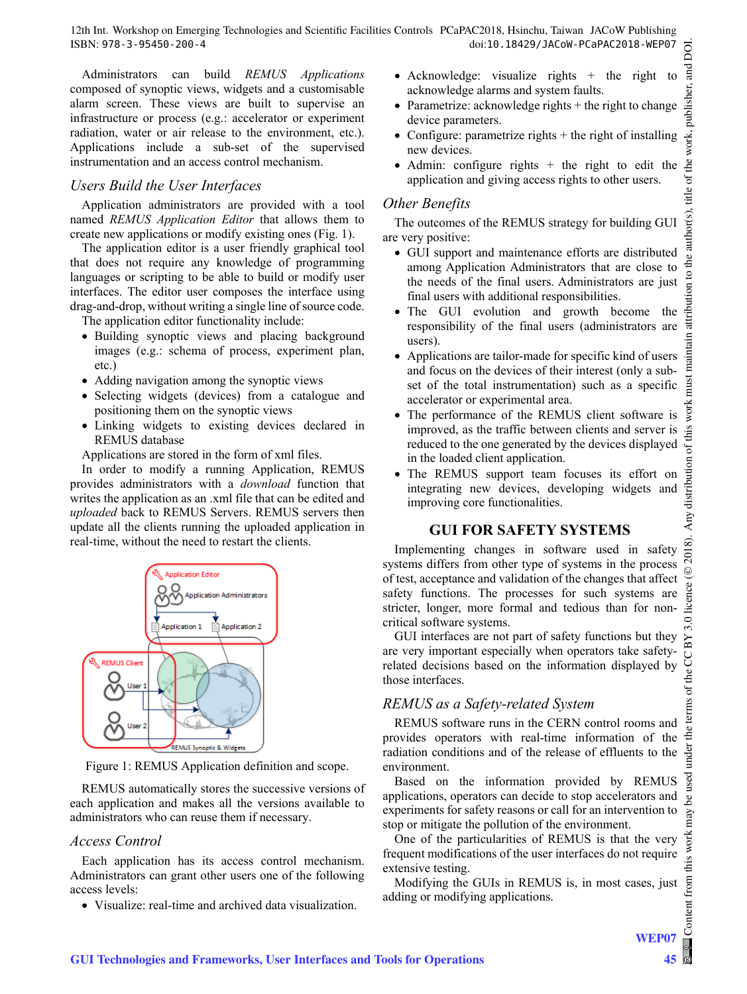Administrators can build *REMUS Applications* composed of synoptic views, widgets and a customisable alarm screen. These views are built to supervise an infrastructure or process (e.g.: accelerator or experiment radiation, water or air release to the environment, etc.). Applications include a sub-set of the supervised instrumentation and an access control mechanism.

#### *Users Build the User Interfaces*

Application administrators are provided with a tool named *REMUS Application Editor* that allows them to create new applications or modify existing ones (Fig. 1).

The application editor is a user friendly graphical tool that does not require any knowledge of programming languages or scripting to be able to build or modify user interfaces. The editor user composes the interface using drag-and-drop, without writing a single line of source code.

The application editor functionality include:

- Building synoptic views and placing background images (e.g.: schema of process, experiment plan, etc.)
- Adding navigation among the synoptic views
- Selecting widgets (devices) from a catalogue and positioning them on the synoptic views
- Linking widgets to existing devices declared in REMUS database

Applications are stored in the form of xml files.

In order to modify a running Application, REMUS provides administrators with a *download* function that writes the application as an .xml file that can be edited and *uploaded* back to REMUS Servers. REMUS servers then update all the clients running the uploaded application in real-time, without the need to restart the clients.



Figure 1: REMUS Application definition and scope.

REMUS automatically stores the successive versions of each application and makes all the versions available to administrators who can reuse them if necessary.

#### *Access Control*

Each application has its access control mechanism. Administrators can grant other users one of the following access levels:

Visualize: real-time and archived data visualization.

- Acknowledge: visualize rights  $+$  the right to acknowledge alarms and system faults.
- Parametrize: acknowledge rights  $+$  the right to change device parameters.
- Configure: parametrize rights  $+$  the right of installing new devices.
- Admin: configure rights  $+$  the right to edit the application and giving access rights to other users.

#### *Other Benefits*

The outcomes of the REMUS strategy for building GUI are very positive:

- GUI support and maintenance efforts are distributed among Application Administrators that are close to the needs of the final users. Administrators are just final users with additional responsibilities.
- The GUI evolution and growth become the responsibility of the final users (administrators are users).
- Applications are tailor-made for specific kind of users and focus on the devices of their interest (only a subset of the total instrumentation) such as a specific accelerator or experimental area.
- The performance of the REMUS client software is improved, as the traffic between clients and server is reduced to the one generated by the devices displayed in the loaded client application.
- The REMUS support team focuses its effort on integrating new devices, developing widgets and improving core functionalities.

### **GUI FOR SAFETY SYSTEMS**

Implementing changes in software used in safety systems differs from other type of systems in the process of test, acceptance and validation of the changes that affect safety functions. The processes for such systems are stricter, longer, more formal and tedious than for noncritical software systems.

GUI interfaces are not part of safety functions but they are very important especially when operators take safetyrelated decisions based on the information displayed by those interfaces.

### *REMUS as a Safety-related System*

REMUS software runs in the CERN control rooms and provides operators with real-time information of the radiation conditions and of the release of effluents to the environment.

Based on the information provided by REMUS applications, operators can decide to stop accelerators and experiments for safety reasons or call for an intervention to stop or mitigate the pollution of the environment.

One of the particularities of REMUS is that the very frequent modifications of the user interfaces do not require extensive testing.

Modifying the GUIs in REMUS is, in most cases, just adding or modifying applications.